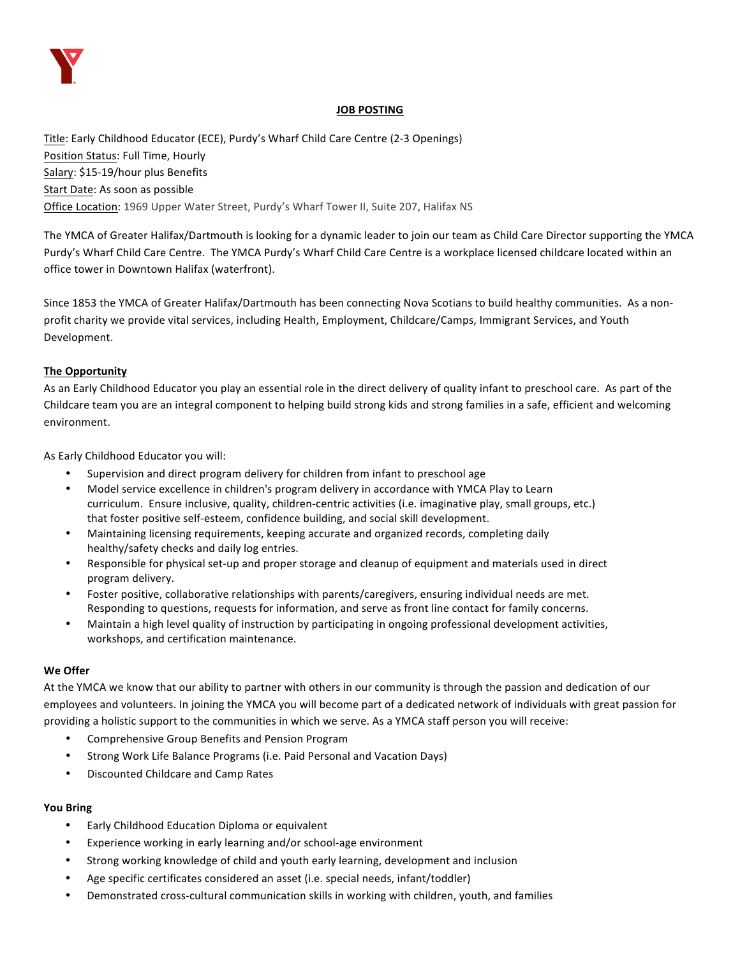

# **JOB POSTING**

Title: Early Childhood Educator (ECE), Purdy's Wharf Child Care Centre (2-3 Openings) Position Status: Full Time, Hourly Salary: \$15-19/hour plus Benefits Start Date: As soon as possible Office Location: 1969 Upper Water Street, Purdy's Wharf Tower II, Suite 207, Halifax NS

The YMCA of Greater Halifax/Dartmouth is looking for a dynamic leader to join our team as Child Care Director supporting the YMCA Purdy's Wharf Child Care Centre. The YMCA Purdy's Wharf Child Care Centre is a workplace licensed childcare located within an office tower in Downtown Halifax (waterfront).

Since 1853 the YMCA of Greater Halifax/Dartmouth has been connecting Nova Scotians to build healthy communities. As a nonprofit charity we provide vital services, including Health, Employment, Childcare/Camps, Immigrant Services, and Youth Development. 

# **The Opportunity**

As an Early Childhood Educator you play an essential role in the direct delivery of quality infant to preschool care. As part of the Childcare team you are an integral component to helping build strong kids and strong families in a safe, efficient and welcoming environment. 

As Early Childhood Educator you will:

- Supervision and direct program delivery for children from infant to preschool age
- Model service excellence in children's program delivery in accordance with YMCA Play to Learn curriculum. Ensure inclusive, quality, children-centric activities (i.e. imaginative play, small groups, etc.) that foster positive self-esteem, confidence building, and social skill development.
- Maintaining licensing requirements, keeping accurate and organized records, completing daily healthy/safety checks and daily log entries.
- Responsible for physical set-up and proper storage and cleanup of equipment and materials used in direct program delivery.
- Foster positive, collaborative relationships with parents/caregivers, ensuring individual needs are met. Responding to questions, requests for information, and serve as front line contact for family concerns.
- Maintain a high level quality of instruction by participating in ongoing professional development activities, workshops, and certification maintenance.

# **We Offer**

At the YMCA we know that our ability to partner with others in our community is through the passion and dedication of our employees and volunteers. In joining the YMCA you will become part of a dedicated network of individuals with great passion for providing a holistic support to the communities in which we serve. As a YMCA staff person you will receive:

- Comprehensive Group Benefits and Pension Program
- Strong Work Life Balance Programs (i.e. Paid Personal and Vacation Days)
- Discounted Childcare and Camp Rates

# **You Bring**

- Early Childhood Education Diploma or equivalent
- Experience working in early learning and/or school-age environment
- Strong working knowledge of child and youth early learning, development and inclusion
- Age specific certificates considered an asset (i.e. special needs, infant/toddler)
- Demonstrated cross-cultural communication skills in working with children, youth, and families